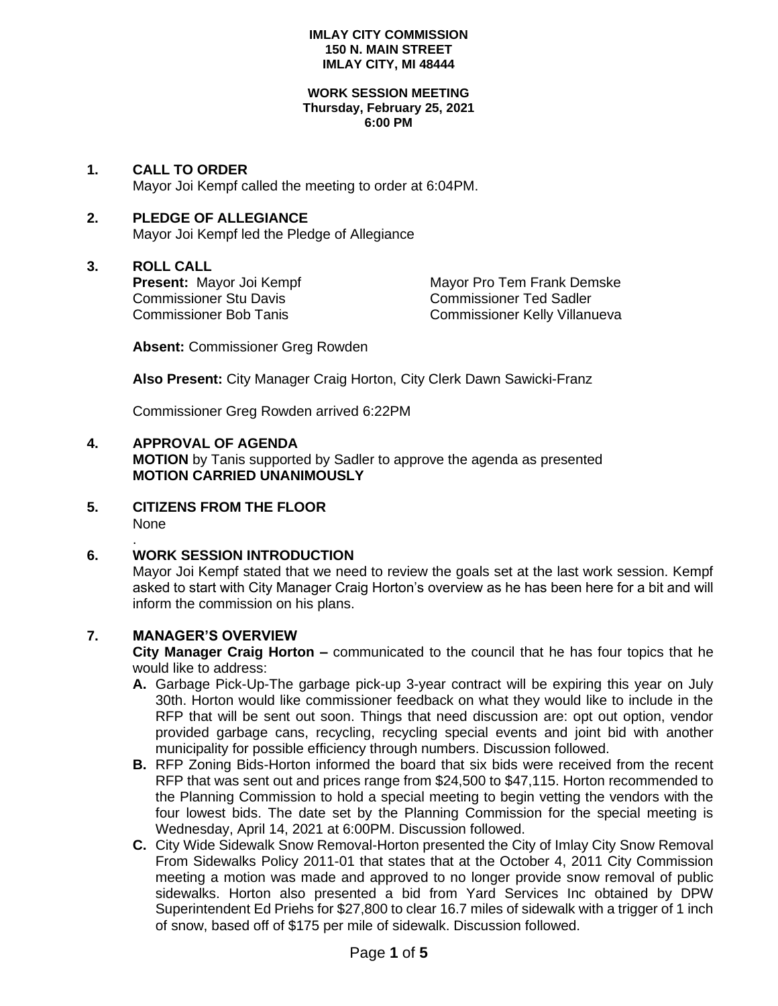#### **WORK SESSION MEETING Thursday, February 25, 2021 6:00 PM**

**1. CALL TO ORDER** Mayor Joi Kempf called the meeting to order at 6:04PM.

# **2. PLEDGE OF ALLEGIANCE**

Mayor Joi Kempf led the Pledge of Allegiance

# **3. ROLL CALL**

Commissioner Stu Davis<br>
Commissioner Bob Tanis<br>
Commissioner Kelly Villanu

**Present:** Mayor Joi Kempf Mayor Pro Tem Frank Demske Commissioner Kelly Villanueva

**Absent:** Commissioner Greg Rowden

**Also Present:** City Manager Craig Horton, City Clerk Dawn Sawicki-Franz

Commissioner Greg Rowden arrived 6:22PM

# **4. APPROVAL OF AGENDA**

**MOTION** by Tanis supported by Sadler to approve the agenda as presented **MOTION CARRIED UNANIMOUSLY**

**5. CITIZENS FROM THE FLOOR** None

### . **6. WORK SESSION INTRODUCTION**

Mayor Joi Kempf stated that we need to review the goals set at the last work session. Kempf asked to start with City Manager Craig Horton's overview as he has been here for a bit and will inform the commission on his plans.

# **7. MANAGER'S OVERVIEW**

**City Manager Craig Horton –** communicated to the council that he has four topics that he would like to address:

- **A.** Garbage Pick-Up-The garbage pick-up 3-year contract will be expiring this year on July 30th. Horton would like commissioner feedback on what they would like to include in the RFP that will be sent out soon. Things that need discussion are: opt out option, vendor provided garbage cans, recycling, recycling special events and joint bid with another municipality for possible efficiency through numbers. Discussion followed.
- **B.** RFP Zoning Bids-Horton informed the board that six bids were received from the recent RFP that was sent out and prices range from \$24,500 to \$47,115. Horton recommended to the Planning Commission to hold a special meeting to begin vetting the vendors with the four lowest bids. The date set by the Planning Commission for the special meeting is Wednesday, April 14, 2021 at 6:00PM. Discussion followed.
- **C.** City Wide Sidewalk Snow Removal-Horton presented the City of Imlay City Snow Removal From Sidewalks Policy 2011-01 that states that at the October 4, 2011 City Commission meeting a motion was made and approved to no longer provide snow removal of public sidewalks. Horton also presented a bid from Yard Services Inc obtained by DPW Superintendent Ed Priehs for \$27,800 to clear 16.7 miles of sidewalk with a trigger of 1 inch of snow, based off of \$175 per mile of sidewalk. Discussion followed.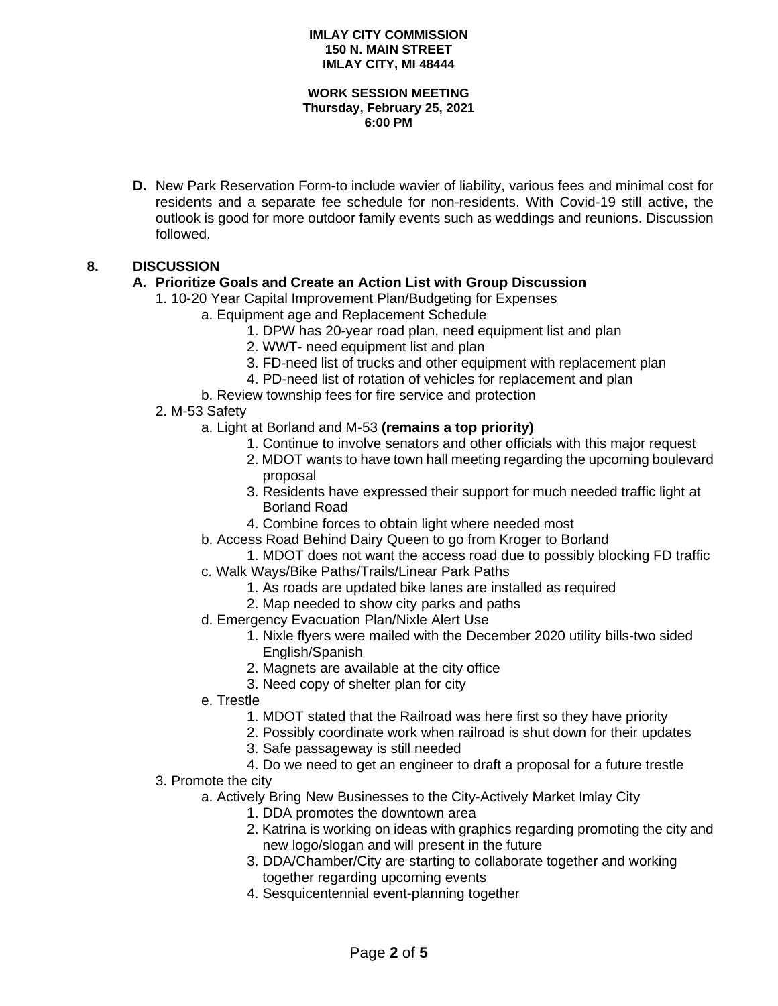### **WORK SESSION MEETING Thursday, February 25, 2021 6:00 PM**

**D.** New Park Reservation Form-to include wavier of liability, various fees and minimal cost for residents and a separate fee schedule for non-residents. With Covid-19 still active, the outlook is good for more outdoor family events such as weddings and reunions. Discussion followed.

# **8. DISCUSSION**

### **A. Prioritize Goals and Create an Action List with Group Discussion**

- 1. 10-20 Year Capital Improvement Plan/Budgeting for Expenses
	- a. Equipment age and Replacement Schedule
		- 1. DPW has 20-year road plan, need equipment list and plan
		- 2. WWT- need equipment list and plan
		- 3. FD-need list of trucks and other equipment with replacement plan
		- 4. PD-need list of rotation of vehicles for replacement and plan
	- b. Review township fees for fire service and protection

### 2. M-53 Safety

- a. Light at Borland and M-53 **(remains a top priority)**
	- 1. Continue to involve senators and other officials with this major request
	- 2. MDOT wants to have town hall meeting regarding the upcoming boulevard proposal
	- 3. Residents have expressed their support for much needed traffic light at Borland Road
	- 4. Combine forces to obtain light where needed most
- b. Access Road Behind Dairy Queen to go from Kroger to Borland
- 1. MDOT does not want the access road due to possibly blocking FD traffic c. Walk Ways/Bike Paths/Trails/Linear Park Paths
	- 1. As roads are updated bike lanes are installed as required
	- 2. Map needed to show city parks and paths
- d. Emergency Evacuation Plan/Nixle Alert Use
	- 1. Nixle flyers were mailed with the December 2020 utility bills-two sided English/Spanish
	- 2. Magnets are available at the city office
	- 3. Need copy of shelter plan for city
- e. Trestle
	- 1. MDOT stated that the Railroad was here first so they have priority
	- 2. Possibly coordinate work when railroad is shut down for their updates
	- 3. Safe passageway is still needed
	- 4. Do we need to get an engineer to draft a proposal for a future trestle
- 3. Promote the city
	- a. Actively Bring New Businesses to the City-Actively Market Imlay City
		- 1. DDA promotes the downtown area
		- 2. Katrina is working on ideas with graphics regarding promoting the city and new logo/slogan and will present in the future
		- 3. DDA/Chamber/City are starting to collaborate together and working together regarding upcoming events
		- 4. Sesquicentennial event-planning together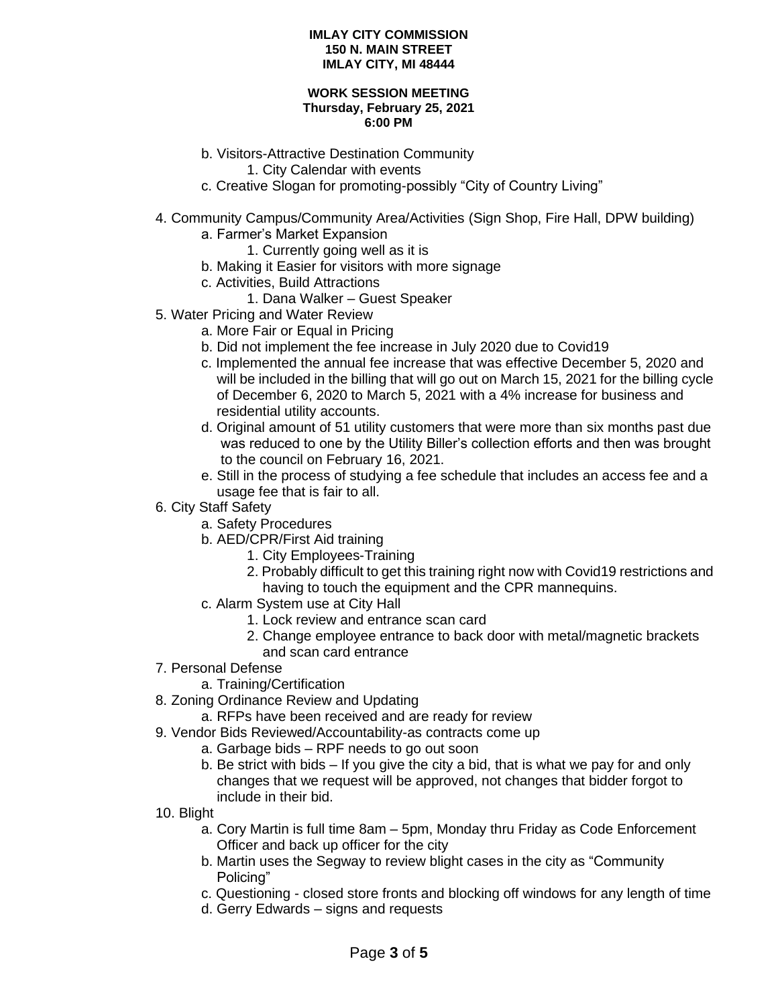### **WORK SESSION MEETING Thursday, February 25, 2021 6:00 PM**

- b. Visitors-Attractive Destination Community
	- 1. City Calendar with events
- c. Creative Slogan for promoting-possibly "City of Country Living"
- 4. Community Campus/Community Area/Activities (Sign Shop, Fire Hall, DPW building)
	- a. Farmer's Market Expansion
		- 1. Currently going well as it is
	- b. Making it Easier for visitors with more signage
	- c. Activities, Build Attractions
		- 1. Dana Walker Guest Speaker
- 5. Water Pricing and Water Review
	- a. More Fair or Equal in Pricing
	- b. Did not implement the fee increase in July 2020 due to Covid19
	- c. Implemented the annual fee increase that was effective December 5, 2020 and will be included in the billing that will go out on March 15, 2021 for the billing cycle of December 6, 2020 to March 5, 2021 with a 4% increase for business and residential utility accounts.
	- d. Original amount of 51 utility customers that were more than six months past due was reduced to one by the Utility Biller's collection efforts and then was brought to the council on February 16, 2021.
	- e. Still in the process of studying a fee schedule that includes an access fee and a usage fee that is fair to all.
- 6. City Staff Safety
	- a. Safety Procedures
	- b. AED/CPR/First Aid training
		- 1. City Employees-Training
		- 2. Probably difficult to get this training right now with Covid19 restrictions and having to touch the equipment and the CPR mannequins.
	- c. Alarm System use at City Hall
		- 1. Lock review and entrance scan card
		- 2. Change employee entrance to back door with metal/magnetic brackets and scan card entrance
- 7. Personal Defense
	- a. Training/Certification
- 8. Zoning Ordinance Review and Updating
	- a. RFPs have been received and are ready for review
- 9. Vendor Bids Reviewed/Accountability-as contracts come up
	- a. Garbage bids RPF needs to go out soon
		- b. Be strict with bids If you give the city a bid, that is what we pay for and only changes that we request will be approved, not changes that bidder forgot to include in their bid.
- 10. Blight
	- a. Cory Martin is full time 8am 5pm, Monday thru Friday as Code Enforcement Officer and back up officer for the city
	- b. Martin uses the Segway to review blight cases in the city as "Community Policing"
	- c. Questioning closed store fronts and blocking off windows for any length of time
	- d. Gerry Edwards signs and requests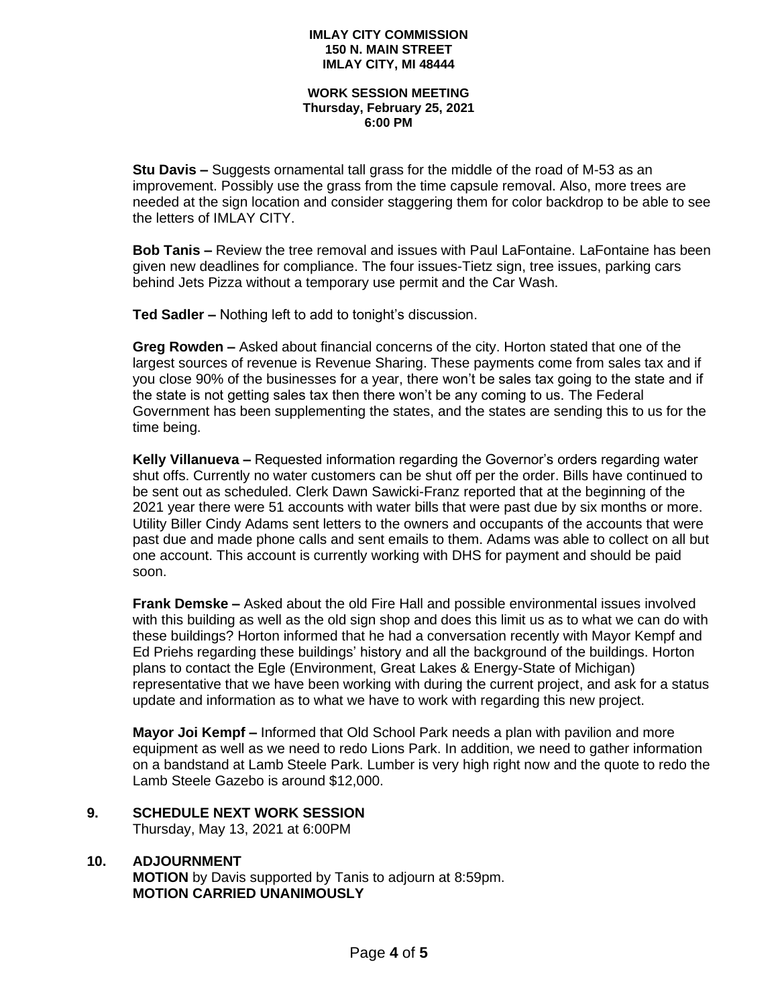#### **WORK SESSION MEETING Thursday, February 25, 2021 6:00 PM**

**Stu Davis –** Suggests ornamental tall grass for the middle of the road of M-53 as an improvement. Possibly use the grass from the time capsule removal. Also, more trees are needed at the sign location and consider staggering them for color backdrop to be able to see the letters of IMLAY CITY.

**Bob Tanis –** Review the tree removal and issues with Paul LaFontaine. LaFontaine has been given new deadlines for compliance. The four issues-Tietz sign, tree issues, parking cars behind Jets Pizza without a temporary use permit and the Car Wash.

**Ted Sadler –** Nothing left to add to tonight's discussion.

**Greg Rowden –** Asked about financial concerns of the city. Horton stated that one of the largest sources of revenue is Revenue Sharing. These payments come from sales tax and if you close 90% of the businesses for a year, there won't be sales tax going to the state and if the state is not getting sales tax then there won't be any coming to us. The Federal Government has been supplementing the states, and the states are sending this to us for the time being.

**Kelly Villanueva –** Requested information regarding the Governor's orders regarding water shut offs. Currently no water customers can be shut off per the order. Bills have continued to be sent out as scheduled. Clerk Dawn Sawicki-Franz reported that at the beginning of the 2021 year there were 51 accounts with water bills that were past due by six months or more. Utility Biller Cindy Adams sent letters to the owners and occupants of the accounts that were past due and made phone calls and sent emails to them. Adams was able to collect on all but one account. This account is currently working with DHS for payment and should be paid soon.

**Frank Demske –** Asked about the old Fire Hall and possible environmental issues involved with this building as well as the old sign shop and does this limit us as to what we can do with these buildings? Horton informed that he had a conversation recently with Mayor Kempf and Ed Priehs regarding these buildings' history and all the background of the buildings. Horton plans to contact the Egle (Environment, Great Lakes & Energy-State of Michigan) representative that we have been working with during the current project, and ask for a status update and information as to what we have to work with regarding this new project.

**Mayor Joi Kempf –** Informed that Old School Park needs a plan with pavilion and more equipment as well as we need to redo Lions Park. In addition, we need to gather information on a bandstand at Lamb Steele Park. Lumber is very high right now and the quote to redo the Lamb Steele Gazebo is around \$12,000.

**9. SCHEDULE NEXT WORK SESSION** Thursday, May 13, 2021 at 6:00PM

### **10. ADJOURNMENT**

**MOTION** by Davis supported by Tanis to adjourn at 8:59pm. **MOTION CARRIED UNANIMOUSLY**